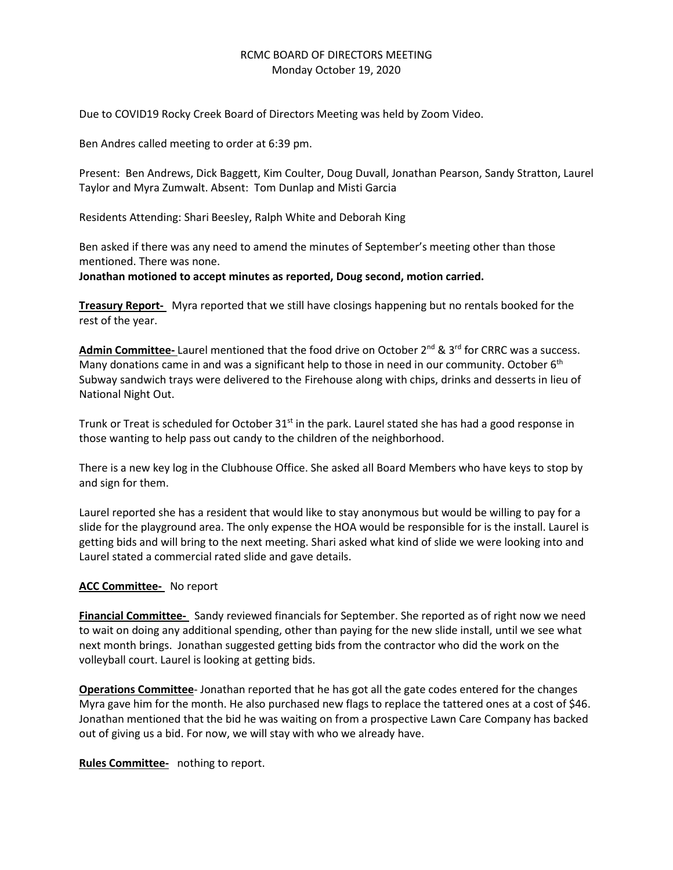# RCMC BOARD OF DIRECTORS MEETING Monday October 19, 2020

Due to COVID19 Rocky Creek Board of Directors Meeting was held by Zoom Video.

Ben Andres called meeting to order at 6:39 pm.

Present: Ben Andrews, Dick Baggett, Kim Coulter, Doug Duvall, Jonathan Pearson, Sandy Stratton, Laurel Taylor and Myra Zumwalt. Absent: Tom Dunlap and Misti Garcia

Residents Attending: Shari Beesley, Ralph White and Deborah King

Ben asked if there was any need to amend the minutes of September's meeting other than those mentioned. There was none.

**Jonathan motioned to accept minutes as reported, Doug second, motion carried.**

**Treasury Report-** Myra reported that we still have closings happening but no rentals booked for the rest of the year.

**Admin Committee-** Laurel mentioned that the food drive on October 2<sup>nd</sup> & 3<sup>rd</sup> for CRRC was a success. Many donations came in and was a significant help to those in need in our community. October 6<sup>th</sup> Subway sandwich trays were delivered to the Firehouse along with chips, drinks and desserts in lieu of National Night Out.

Trunk or Treat is scheduled for October  $31<sup>st</sup>$  in the park. Laurel stated she has had a good response in those wanting to help pass out candy to the children of the neighborhood.

There is a new key log in the Clubhouse Office. She asked all Board Members who have keys to stop by and sign for them.

Laurel reported she has a resident that would like to stay anonymous but would be willing to pay for a slide for the playground area. The only expense the HOA would be responsible for is the install. Laurel is getting bids and will bring to the next meeting. Shari asked what kind of slide we were looking into and Laurel stated a commercial rated slide and gave details.

# **ACC Committee-** No report

**Financial Committee-** Sandy reviewed financials for September. She reported as of right now we need to wait on doing any additional spending, other than paying for the new slide install, until we see what next month brings. Jonathan suggested getting bids from the contractor who did the work on the volleyball court. Laurel is looking at getting bids.

**Operations Committee**- Jonathan reported that he has got all the gate codes entered for the changes Myra gave him for the month. He also purchased new flags to replace the tattered ones at a cost of \$46. Jonathan mentioned that the bid he was waiting on from a prospective Lawn Care Company has backed out of giving us a bid. For now, we will stay with who we already have.

**Rules Committee-** nothing to report.